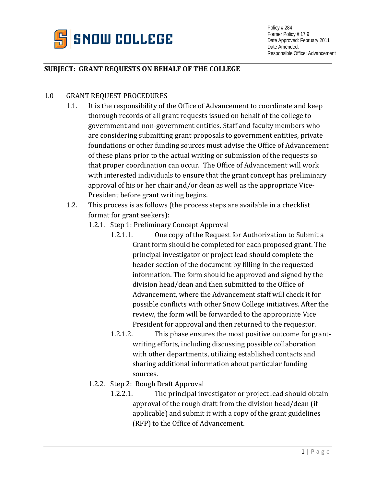

## **SUBJECT: GRANT REQUESTS ON BEHALF OF THE COLLEGE**

## 1.0 GRANT REQUEST PROCEDURES

- 1.1. It is the responsibility of the Office of Advancement to coordinate and keep thorough records of all grant requests issued on behalf of the college to government and non-government entities. Staff and faculty members who are considering submitting grant proposals to government entities, private foundations or other funding sources must advise the Office of Advancement of these plans prior to the actual writing or submission of the requests so that proper coordination can occur. The Office of Advancement will work with interested individuals to ensure that the grant concept has preliminary approval of his or her chair and/or dean as well as the appropriate Vice-President before grant writing begins.
- 1.2. This process is as follows (the process steps are available in a checklist format for grant seekers):
	- 1.2.1. Step 1: Preliminary Concept Approval
		- 1.2.1.1. One copy of the Request for Authorization to Submit a Grant form should be completed for each proposed grant. The principal investigator or project lead should complete the header section of the document by filling in the requested information. The form should be approved and signed by the division head/dean and then submitted to the Office of Advancement, where the Advancement staff will check it for possible conflicts with other Snow College initiatives. After the review, the form will be forwarded to the appropriate Vice President for approval and then returned to the requestor.
		- 1.2.1.2. This phase ensures the most positive outcome for grantwriting efforts, including discussing possible collaboration with other departments, utilizing established contacts and sharing additional information about particular funding sources.
	- 1.2.2. Step 2: Rough Draft Approval
		- 1.2.2.1. The principal investigator or project lead should obtain approval of the rough draft from the division head/dean (if applicable) and submit it with a copy of the grant guidelines (RFP) to the Office of Advancement.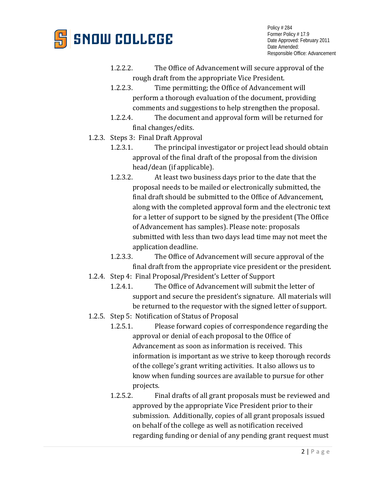

Policy # 284 Former Policy # 17.9 Date Approved: February 2011 Date Amended: Responsible Office: Advancement

- 1.2.2.2. The Office of Advancement will secure approval of the rough draft from the appropriate Vice President.
- 1.2.2.3. Time permitting; the Office of Advancement will perform a thorough evaluation of the document, providing comments and suggestions to help strengthen the proposal.
- 1.2.2.4. The document and approval form will be returned for final changes/edits.
- 1.2.3. Steps 3: Final Draft Approval
	- 1.2.3.1. The principal investigator or project lead should obtain approval of the final draft of the proposal from the division head/dean (if applicable).
	- 1.2.3.2. At least two business days prior to the date that the proposal needs to be mailed or electronically submitted, the final draft should be submitted to the Office of Advancement, along with the completed approval form and the electronic text for a letter of support to be signed by the president (The Office of Advancement has samples). Please note: proposals submitted with less than two days lead time may not meet the application deadline.
	- 1.2.3.3. The Office of Advancement will secure approval of the final draft from the appropriate vice president or the president.
- 1.2.4. Step 4: Final Proposal/President's Letter of Support
	- 1.2.4.1. The Office of Advancement will submit the letter of support and secure the president's signature. All materials will be returned to the requestor with the signed letter of support.
- 1.2.5. Step 5: Notification of Status of Proposal
	- 1.2.5.1. Please forward copies of correspondence regarding the approval or denial of each proposal to the Office of Advancement as soon as information is received. This information is important as we strive to keep thorough records of the college's grant writing activities. It also allows us to know when funding sources are available to pursue for other projects.
	- 1.2.5.2. Final drafts of all grant proposals must be reviewed and approved by the appropriate Vice President prior to their submission. Additionally, copies of all grant proposals issued on behalf of the college as well as notification received regarding funding or denial of any pending grant request must